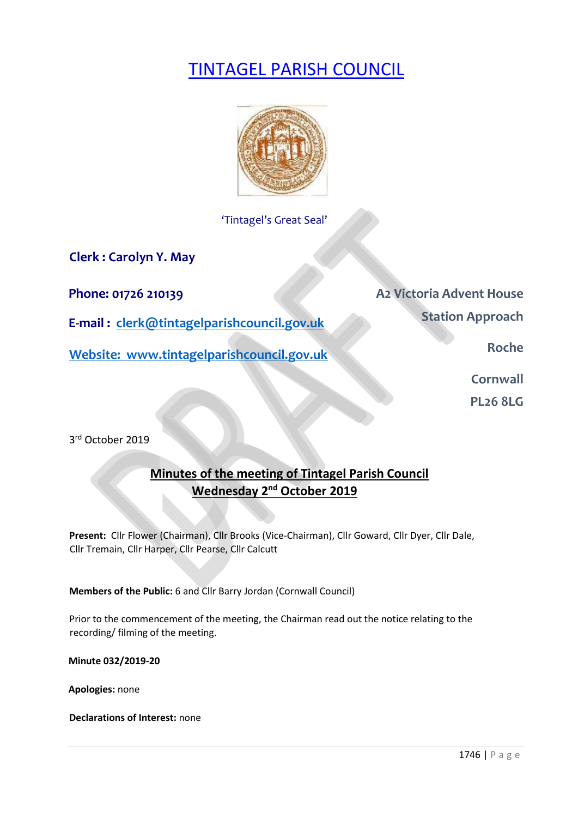# TINTAGEL PARISH COUNCIL



'Tintagel's Great Seal'

**Clerk : Carolyn Y. May** 

**E-mail : clerk@tintagelparishcouncil.gov.uk** 

**Website: www.tintagelparishcouncil.gov.uk** 

**Phone: 01726 210139 A2 Victoria Advent House Station Approach** 

**Roche** 

**Cornwall** 

**PL26 8LG** 

3 rd October 2019

# **Minutes of the meeting of Tintagel Parish Council Wednesday 2<sup>nd</sup> October 2019**

**Present:** Cllr Flower (Chairman), Cllr Brooks (Vice-Chairman), Cllr Goward, Cllr Dyer, Cllr Dale, Cllr Tremain, Cllr Harper, Cllr Pearse, Cllr Calcutt

**Members of the Public:** 6 and Cllr Barry Jordan (Cornwall Council)

Prior to the commencement of the meeting, the Chairman read out the notice relating to the recording/ filming of the meeting.

**Minute 032/2019-20** 

**Apologies:** none

**Declarations of Interest:** none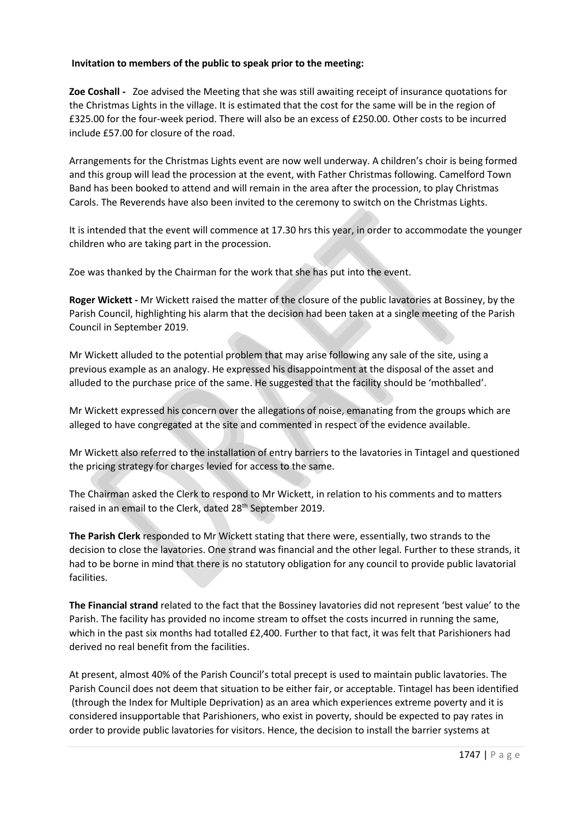# **Invitation to members of the public to speak prior to the meeting:**

**Zoe Coshall -** Zoe advised the Meeting that she was still awaiting receipt of insurance quotations for the Christmas Lights in the village. It is estimated that the cost for the same will be in the region of £325.00 for the four-week period. There will also be an excess of £250.00. Other costs to be incurred include £57.00 for closure of the road.

Arrangements for the Christmas Lights event are now well underway. A children's choir is being formed and this group will lead the procession at the event, with Father Christmas following. Camelford Town Band has been booked to attend and will remain in the area after the procession, to play Christmas Carols. The Reverends have also been invited to the ceremony to switch on the Christmas Lights.

It is intended that the event will commence at 17.30 hrs this year, in order to accommodate the younger children who are taking part in the procession.

Zoe was thanked by the Chairman for the work that she has put into the event.

**Roger Wickett -** Mr Wickett raised the matter of the closure of the public lavatories at Bossiney, by the Parish Council, highlighting his alarm that the decision had been taken at a single meeting of the Parish Council in September 2019.

Mr Wickett alluded to the potential problem that may arise following any sale of the site, using a previous example as an analogy. He expressed his disappointment at the disposal of the asset and alluded to the purchase price of the same. He suggested that the facility should be 'mothballed'.

Mr Wickett expressed his concern over the allegations of noise, emanating from the groups which are alleged to have congregated at the site and commented in respect of the evidence available.

Mr Wickett also referred to the installation of entry barriers to the lavatories in Tintagel and questioned the pricing strategy for charges levied for access to the same.

The Chairman asked the Clerk to respond to Mr Wickett, in relation to his comments and to matters raised in an email to the Clerk, dated 28<sup>th</sup> September 2019.

**The Parish Clerk** responded to Mr Wickett stating that there were, essentially, two strands to the decision to close the lavatories. One strand was financial and the other legal. Further to these strands, it had to be borne in mind that there is no statutory obligation for any council to provide public lavatorial facilities.

**The Financial strand** related to the fact that the Bossiney lavatories did not represent 'best value' to the Parish. The facility has provided no income stream to offset the costs incurred in running the same, which in the past six months had totalled £2,400. Further to that fact, it was felt that Parishioners had derived no real benefit from the facilities.

At present, almost 40% of the Parish Council's total precept is used to maintain public lavatories. The Parish Council does not deem that situation to be either fair, or acceptable. Tintagel has been identified (through the Index for Multiple Deprivation) as an area which experiences extreme poverty and it is considered insupportable that Parishioners, who exist in poverty, should be expected to pay rates in order to provide public lavatories for visitors. Hence, the decision to install the barrier systems at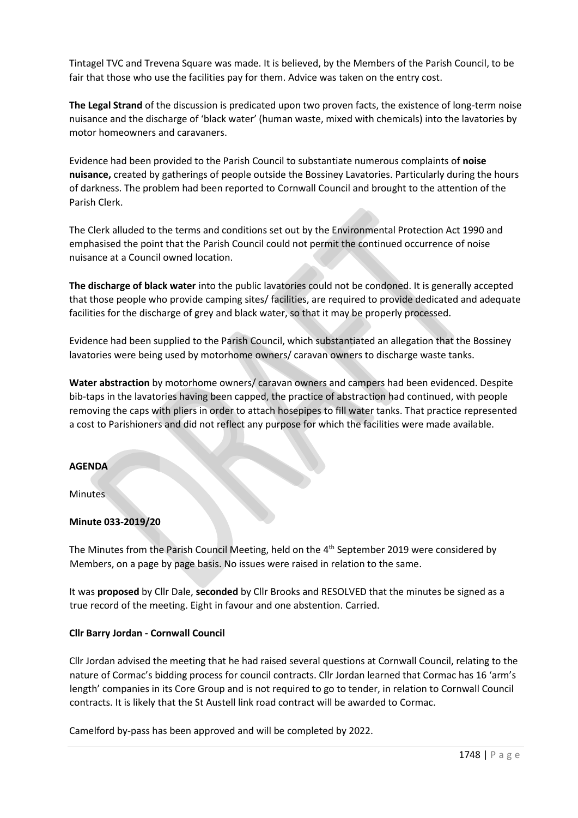Tintagel TVC and Trevena Square was made. It is believed, by the Members of the Parish Council, to be fair that those who use the facilities pay for them. Advice was taken on the entry cost.

**The Legal Strand** of the discussion is predicated upon two proven facts, the existence of long-term noise nuisance and the discharge of 'black water' (human waste, mixed with chemicals) into the lavatories by motor homeowners and caravaners.

Evidence had been provided to the Parish Council to substantiate numerous complaints of **noise nuisance,** created by gatherings of people outside the Bossiney Lavatories. Particularly during the hours of darkness. The problem had been reported to Cornwall Council and brought to the attention of the Parish Clerk.

The Clerk alluded to the terms and conditions set out by the Environmental Protection Act 1990 and emphasised the point that the Parish Council could not permit the continued occurrence of noise nuisance at a Council owned location.

**The discharge of black water** into the public lavatories could not be condoned. It is generally accepted that those people who provide camping sites/ facilities, are required to provide dedicated and adequate facilities for the discharge of grey and black water, so that it may be properly processed.

Evidence had been supplied to the Parish Council, which substantiated an allegation that the Bossiney lavatories were being used by motorhome owners/ caravan owners to discharge waste tanks.

**Water abstraction** by motorhome owners/ caravan owners and campers had been evidenced. Despite bib-taps in the lavatories having been capped, the practice of abstraction had continued, with people removing the caps with pliers in order to attach hosepipes to fill water tanks. That practice represented a cost to Parishioners and did not reflect any purpose for which the facilities were made available.

#### **AGENDA**

Minutes

#### **Minute 033-2019/20**

The Minutes from the Parish Council Meeting, held on the 4<sup>th</sup> September 2019 were considered by Members, on a page by page basis. No issues were raised in relation to the same.

It was **proposed** by Cllr Dale, **seconded** by Cllr Brooks and RESOLVED that the minutes be signed as a true record of the meeting. Eight in favour and one abstention. Carried.

#### **Cllr Barry Jordan - Cornwall Council**

Cllr Jordan advised the meeting that he had raised several questions at Cornwall Council, relating to the nature of Cormac's bidding process for council contracts. Cllr Jordan learned that Cormac has 16 'arm's length' companies in its Core Group and is not required to go to tender, in relation to Cornwall Council contracts. It is likely that the St Austell link road contract will be awarded to Cormac.

Camelford by-pass has been approved and will be completed by 2022.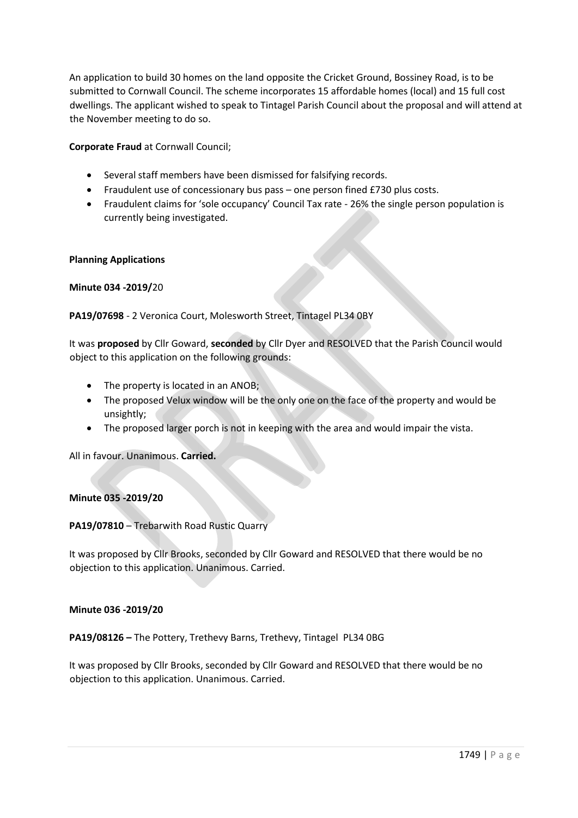An application to build 30 homes on the land opposite the Cricket Ground, Bossiney Road, is to be submitted to Cornwall Council. The scheme incorporates 15 affordable homes (local) and 15 full cost dwellings. The applicant wished to speak to Tintagel Parish Council about the proposal and will attend at the November meeting to do so.

**Corporate Fraud** at Cornwall Council;

- Several staff members have been dismissed for falsifying records.
- Fraudulent use of concessionary bus pass one person fined £730 plus costs.
- Fraudulent claims for 'sole occupancy' Council Tax rate 26% the single person population is currently being investigated.

#### **Planning Applications**

**Minute 034 -2019/**20

# **PA19/07698** - 2 Veronica Court, Molesworth Street, Tintagel PL34 0BY

It was **proposed** by Cllr Goward, **seconded** by Cllr Dyer and RESOLVED that the Parish Council would object to this application on the following grounds:

- The property is located in an ANOB;
- The proposed Velux window will be the only one on the face of the property and would be unsightly;
- The proposed larger porch is not in keeping with the area and would impair the vista.

All in favour. Unanimous. **Carried.**

#### **Minute 035 -2019/20**

#### **PA19/07810** – Trebarwith Road Rustic Quarry

It was proposed by Cllr Brooks, seconded by Cllr Goward and RESOLVED that there would be no objection to this application. Unanimous. Carried.

#### **Minute 036 -2019/20**

**PA19/08126 –** The Pottery, Trethevy Barns, Trethevy, Tintagel PL34 0BG

It was proposed by Cllr Brooks, seconded by Cllr Goward and RESOLVED that there would be no objection to this application. Unanimous. Carried.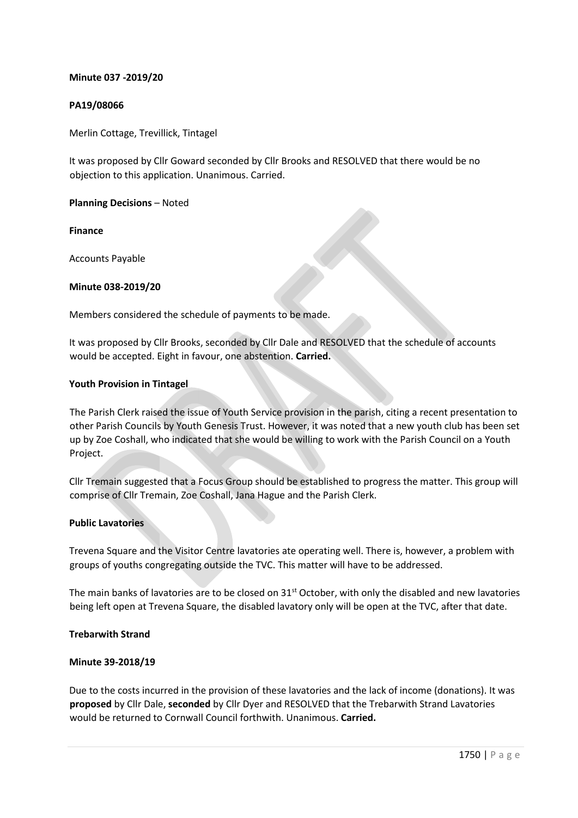## **Minute 037 -2019/20**

#### **PA19/08066**

Merlin Cottage, Trevillick, Tintagel

It was proposed by Cllr Goward seconded by Cllr Brooks and RESOLVED that there would be no objection to this application. Unanimous. Carried.

**Planning Decisions** – Noted

**Finance** 

Accounts Payable

#### **Minute 038-2019/20**

Members considered the schedule of payments to be made.

It was proposed by Cllr Brooks, seconded by Cllr Dale and RESOLVED that the schedule of accounts would be accepted. Eight in favour, one abstention. **Carried.**

#### **Youth Provision in Tintagel**

The Parish Clerk raised the issue of Youth Service provision in the parish, citing a recent presentation to other Parish Councils by Youth Genesis Trust. However, it was noted that a new youth club has been set up by Zoe Coshall, who indicated that she would be willing to work with the Parish Council on a Youth Project.

Cllr Tremain suggested that a Focus Group should be established to progress the matter. This group will comprise of Cllr Tremain, Zoe Coshall, Jana Hague and the Parish Clerk.

#### **Public Lavatories**

Trevena Square and the Visitor Centre lavatories ate operating well. There is, however, a problem with groups of youths congregating outside the TVC. This matter will have to be addressed.

The main banks of lavatories are to be closed on 31<sup>st</sup> October, with only the disabled and new lavatories being left open at Trevena Square, the disabled lavatory only will be open at the TVC, after that date.

#### **Trebarwith Strand**

#### **Minute 39-2018/19**

Due to the costs incurred in the provision of these lavatories and the lack of income (donations). It was **proposed** by Cllr Dale, **seconded** by Cllr Dyer and RESOLVED that the Trebarwith Strand Lavatories would be returned to Cornwall Council forthwith. Unanimous. **Carried.**